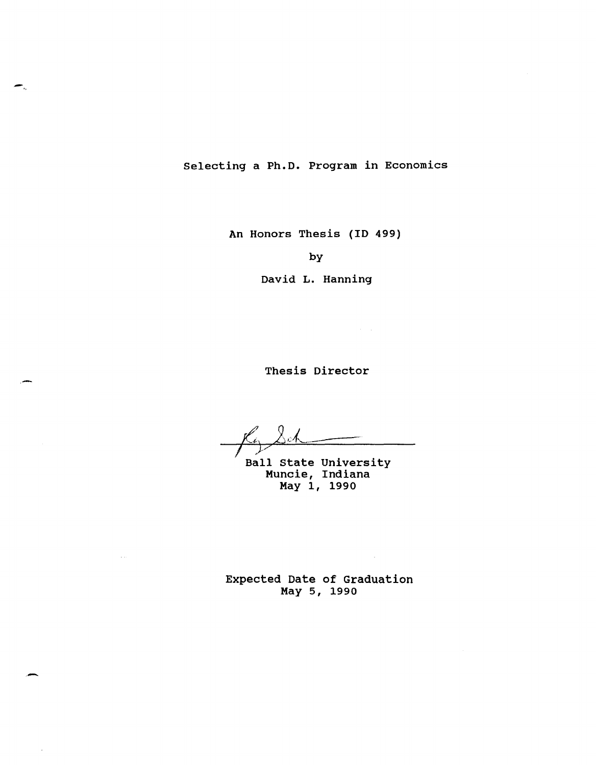Selecting a Ph.D. Program in Economics

An Honors Thesis (ID 499)

by

David L. Hanning

Thesis Director

 $\sim 10^{11}$  km  $^{-1}$ 

 $\sim$   $\sim$ 

 $\frac{f(y)}{y}$ 

Ball State University Muncie, Indiana May 1, 1990

Expected Date of Graduation May 5, 1990

 $\sim$   $\sim$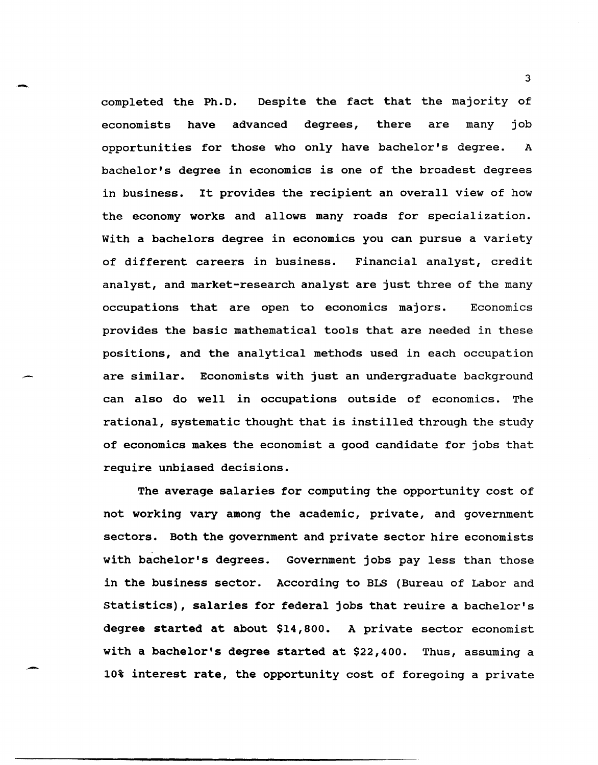completed the Ph.D. Despite the fact that the majority of economists have advanced degrees, there are many job opportunities for those who only have bachelor's degree. A bachelor's degree in economics is one of the broadest degrees in business. It provides the recipient an overall view of how the economy works and allows many roads for specialization. with a bachelors degree in economics you can pursue a variety of different careers in business. Financial analyst, credit analyst, and market-research analyst are just three of the many occupations that are open to economics majors. Economics provides the basic mathematical tools that are needed in these positions, and the analytical methods used in each occupation are similar. Economists with just an undergraduate background can also do well in occupations outside of economics. The rational, systematic thought that is instilled through the study of economics makes the economist a good candidate for jobs that require unbiased decisions.

-

-

.-

The average salaries for computing the opportunity cost of not working vary among the academic, private, and government sectors. Both the government and private sector hire economists with bachelor's degrees. Government jobs pay less than those in the business sector. According to BLS (Bureau of Labor and statistics), salaries for federal jobs that reuire a bachelor's degree started at about \$14,800. A private sector economist with a bachelor's degree started at \$22,400. Thus, assuming a 10% interest rate, the opportunity cost of foregoing a private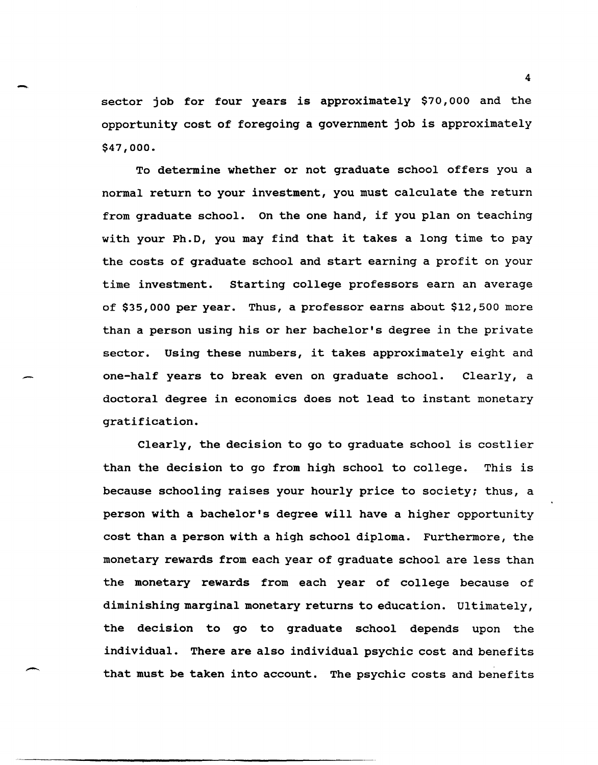sector job for four years is approximately \$70,000 and the opportunity cost of foregoing a government job is approximately \$47,000.

-.

--

To determine whether or not graduate school offers you a normal return to your investment, you must calculate the return from graduate school. On the one hand, if you plan on teaching with your Ph.D, you may find that it takes a long time to pay the costs of graduate school and start earning a profit on your time investment. Starting college professors earn an average of \$35,000 per year. Thus, a professor earns about \$12,500 more than a person using his or her bachelor's degree in the private sector. Using these numbers, it takes approximately eight and one-half years to break even on graduate school. Clearly, a doctoral degree in economics does not lead to instant monetary gratification.

Clearly, the decision to go to graduate school is costlier than the decision to go from high school to college. This is because schooling raises your hourly price to society; thus, a person with a bachelor's degree will have a higher opportunity cost than a person with a high school diploma. Furthermore, the monetary rewards from each year of graduate school are less than the monetary rewards from each year of college because of diminishing marginal monetary returns to education. Ultimately, the decision to go to graduate school depends upon the individual. There are also individual psychic cost and benefits that must be taken into account. The psychic costs and benefits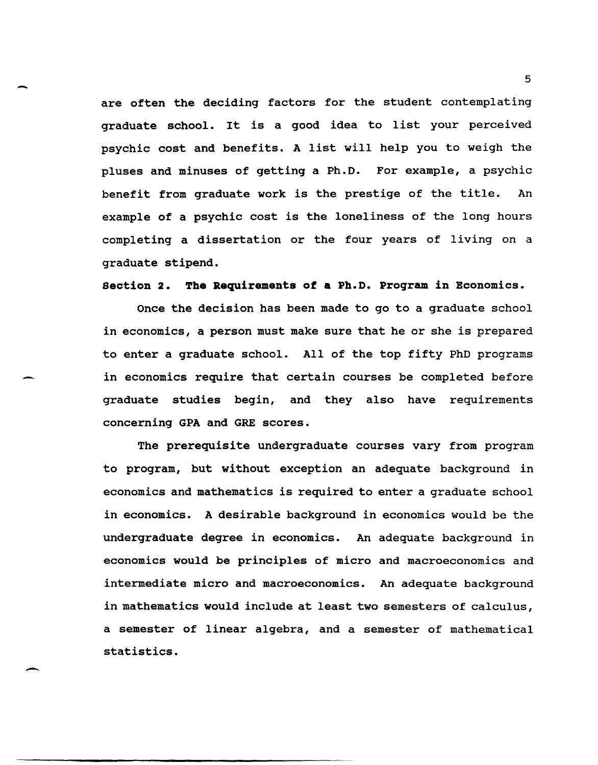are often the deciding factors for the student contemplating graduate school. It is a good idea to list your perceived psychic cost and benefits. A list will help you to weigh the pluses and minuses of getting a Ph.D. For example, a psychic benefit from graduate work is the prestige of the title. An example of a psychic cost is the loneliness of the long hours completing a dissertation or the four years of living on a graduate stipend.

-

-

 $\overline{\phantom{0}}$ 

section 2. The Requirements of a Ph.D. program in Economics.

Once the decision has been made to go to a graduate school in economics, a person must make sure that he or she is prepared to enter a graduate school. All of the top fifty PhD programs in economics require that certain courses be completed before graduate studies begin, and they also have requirements concerning GPA and GRE scores.

The prerequisite undergraduate courses vary from program to program, but without exception an adequate background in economics and mathematics is required to enter a graduate school in economics. A desirable background in economics would be the undergraduate degree in economics. An adequate background in economics would be principles of micro and macroeconomics and intermediate micro and macroeconomics. An adequate background in mathematics would include at least two semesters of calculus, a semester of linear algebra, and a semester of mathematical statistics.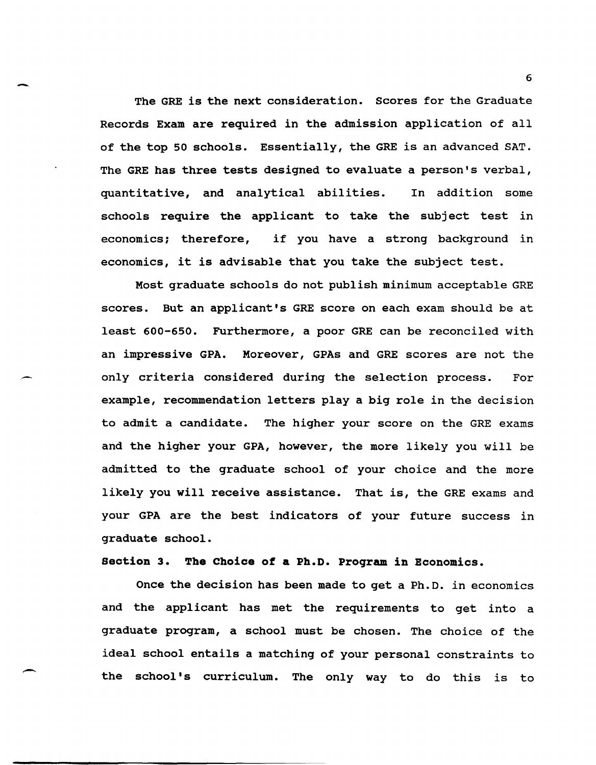- <sup>6</sup> The GRE is the next consideration. Scores for the Graduate Records Exam are required in the admission application of all of the top 50 schools. Essentially, the GRE is an advanced SAT. The GRE has three tests designed to evaluate a person's verbal, quantitative, and analytical abilities. In addition some schools require the applicant to take the subject test in economics; therefore, if you have a strong background in economics, it is advisable that you take the subject test.

> Most graduate schools do not publish minimum acceptable GRE scores. But an applicant's GRE score on each exam should be at least 600-650. Furthermore, a poor GRE can be reconciled with an impressive GPA. Moreover, GPAs and GRE scores are not the only criteria considered during the selection process. For example, recommendation letters playa big role in the decision to admit a candidate. The higher your score on the GRE exams and the higher your GPA, however, the more likely you will be admitted to the graduate school of your choice and the more likely you will receive assistance. That is, the GRE exams and your GPA are the best indicators of your future success in graduate school.

section 3. The Choice of a Ph.D. Proqram in Economics.

Once the decision has been made to get a Ph.D. in economics and the applicant has met the requirements to get into a graduate program, a school must be chosen. The choice of the ideal school entails a matching of your personal constraints to the school's curriculum. The only way to do this is to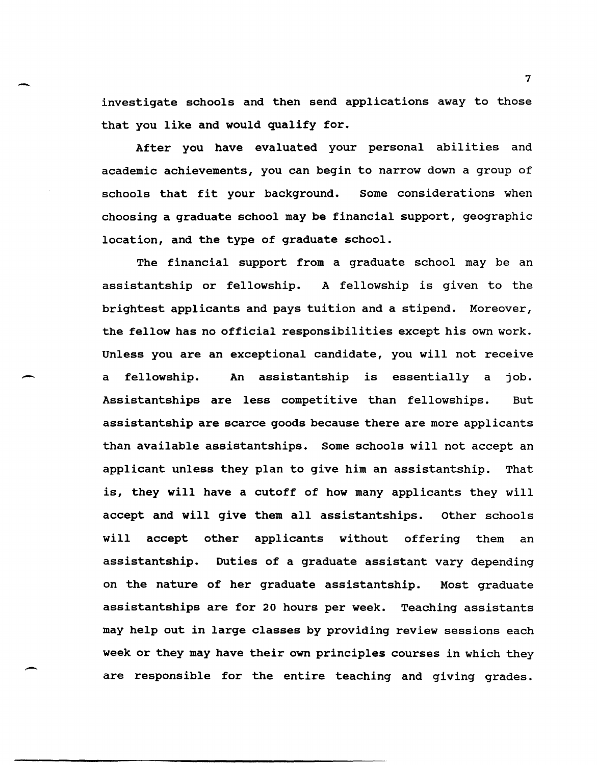investigate schools and then send applications away to those that you like and would qualify for.

-

-

After you have evaluated your personal abilities and academic achievements, you can begin to narrow down a group of schools that fit your background. Some considerations when choosing a graduate school may be financial support, geographic location, and the type of graduate school.

The financial support from a graduate school may be an assistantship or fellowship. A fellowship is given to the brightest applicants and pays tuition and a stipend. Moreover, the fellow has no official responsibilities except his own work. Unless you are an exceptional candidate, you will not receive a fellowship. An assistantship is essentially a job. Assistantships are less competitive than fellowships. But assistantship are scarce goods because there are more applicants than available assistantships. Some schools will not accept an applicant unless they plan to give him an assistantship. That is, they will have a cutoff of how many applicants they will accept and will give them all assistantships. other schools will accept other applicants without offering them an assistantship. Duties of a graduate assistant vary depending on the nature of her graduate assistantship. Most graduate assistantships are for 20 hours per week. Teaching assistants may help out in large classes by providing review sessions each week or they may have their own principles courses in which they are responsible for the entire teaching and giving grades.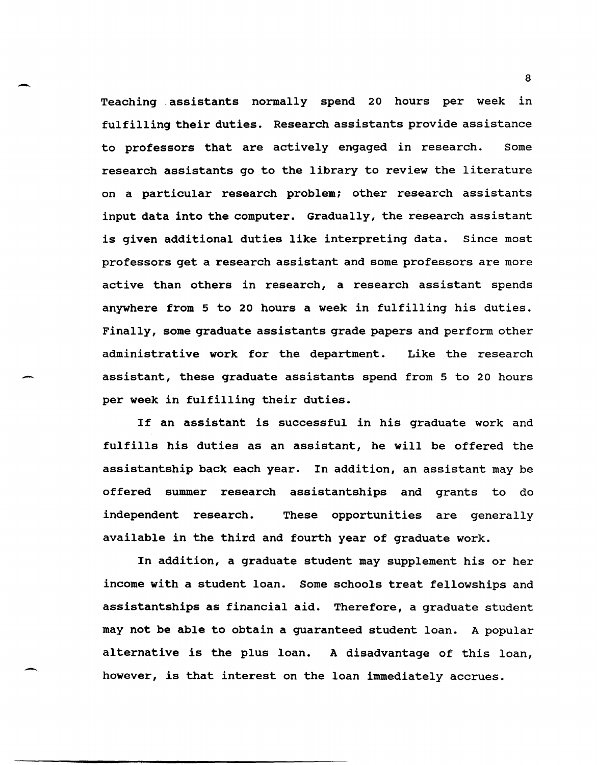Teaching .assistants normally spend 20 hours per week in fulfilling their duties. Research assistants provide assistance to professors that are actively engaged in research. Some research assistants go to the library to review the literature on a particular research problem; other research assistants input data into the computer. Gradually, the research assistant is given additional duties like interpreting data. Since most professors get a research assistant and some professors are more active than others in research, a research assistant spends anywhere from 5 to 20 hours a week in fulfilling his duties. Finally, some graduate assistants grade papers and perform other administrative work for the department. Like the research assistant, these graduate assistants spend from 5 to 20 hours per week in fulfilling their duties.

-

-

-

If an assistant is successful in his graduate work and fulfills his duties as an assistant, he will be offered the assistantship back each year. In addition, an assistant may be offered summer research assistantships and grants to do independent research. These opportunities are generally available in the third and fourth year of graduate work.

In addition, a graduate student may supplement his or her income with a student loan. Some schools treat fellowships and assistantships as financial aid. Therefore, a graduate student may not be able to obtain a guaranteed student loan. A popular alternative is the plus loan. A disadvantage of this loan, however, is that interest on the loan immediately accrues.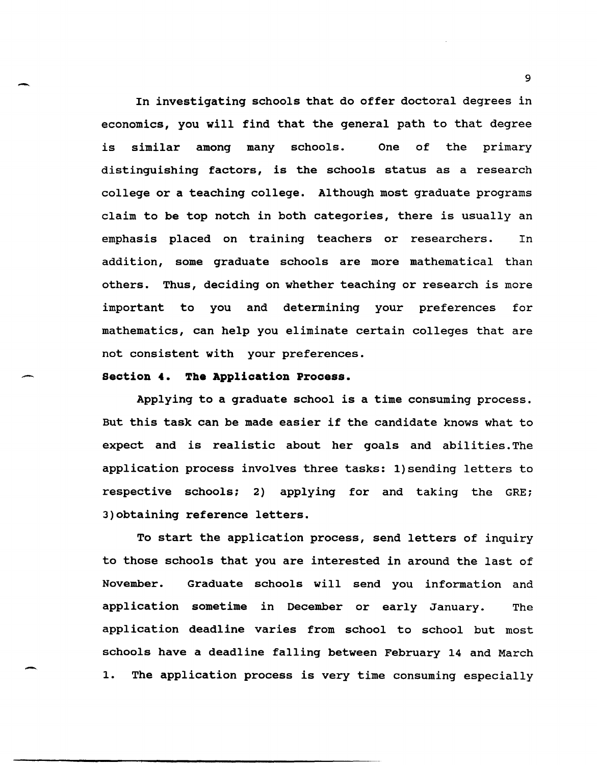In investigating schools that do offer doctoral degrees in economics, you will find that the general path to that degree is similar among many schools. One of the primary distinguishing factors, is the schools status as a research college or a teaching college. Although most graduate programs claim to be top notch in both categories, there is usually an emphasis placed on training teachers or researchers. In addition, some graduate schools are more mathematical than others. Thus, deciding on whether teaching or research is more important to you and determining your preferences for mathematics, can help you eliminate certain colleges that are not consistent with your preferences.

# **section 4. The Application Process.**

-

-

-

Applying to a graduate school is a time consuming process. But this task can be made easier if the candidate knows what to expect and is realistic about her goals and abilities. The application process involves three tasks: l)sending letters to respective schools; 2) applying for and taking the GRE; 3)obtaining reference letters.

To start the application process, send letters of inquiry to those schools that you are interested in around the last of November. Graduate schools will send you information and application sometime in December or early January. The application deadline varies from school to school but most schools have a deadline falling between February 14 and March 1. The application process is very time consuming especially

9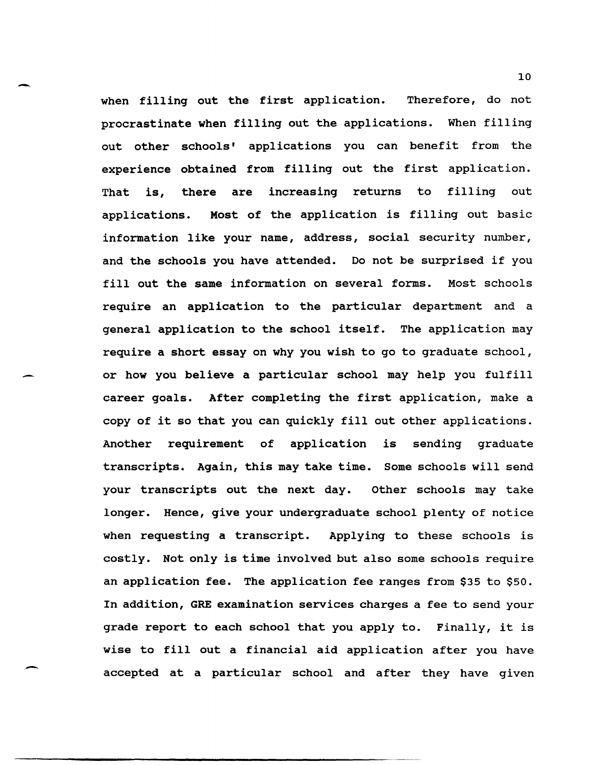- <sup>10</sup> when filling out the first application. Therefore, do not procrastinate when filling out the applications. When filling out other schools' applications you can benefit from the experience obtained from filling out the first application. That is, there are increasing returns to filling out applications. Most of the application is filling out basic information like your name, address, social security number, and the schools you have attended. Do not be surprised if you fill out the same information on several forms. Most schools require an application to the particular department and a general application to the school itself. The application may require a short essay on why you wish to go to graduate school, or how you believe a particular school may help you fulfill career goals. After completing the first application, make a copy of it so that you can quickly fill out other applications. Another requirement of application is sending graduate transcripts. Again, this may take time. Some schools will send your transcripts out the next day. Other schools may take longer. Hence, give your undergraduate school plenty of notice when requesting a transcript. Applying to these schools is costly. Not only is time involved but also some schools require an application fee. The application fee ranges from \$35 to \$50. In addition, GRE examination services charges a fee to send your grade report to each school that you apply to. Finally, it is wise to fill out a financial aid application after you have accepted at a particular school and after they have given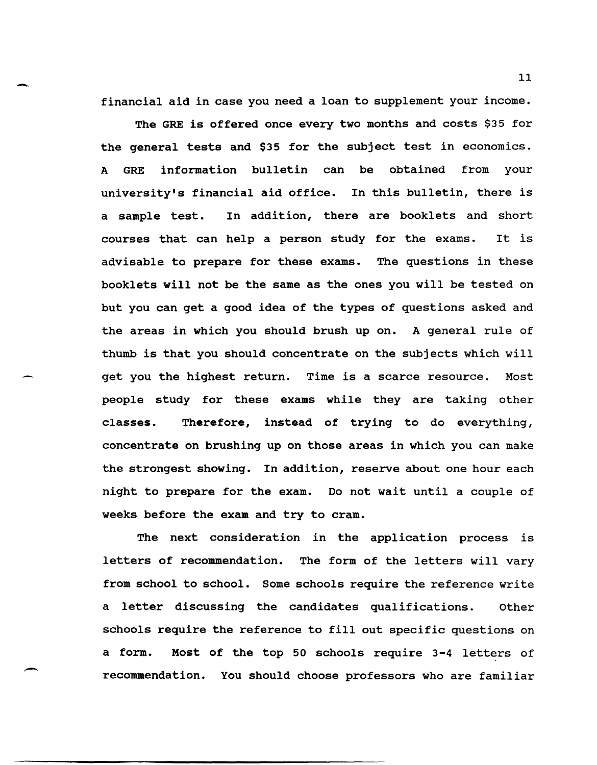financial aid in case you need a loan to supplement your income.

-

-

The GRE is offered once every two months and costs \$35 for the general tests and \$35 for the subject test in economics. A GRE information bulletin can be obtained from your university's financial aid office. In this bulletin, there is a sample test. In addition, there are booklets and short courses that can help a person study for the exams. It is advisable to prepare for these exams. The questions in these booklets will not be the same as the ones you will be tested on but you can get a good idea of the types of questions asked and the areas in which you should brush up on. A general rule of thumb is that you should concentrate on the subjects which will get you the highest return. Time is a scarce resource. Most people study for these exams while they are taking other classes. Therefore, instead of trying to do everything, concentrate on brushing up on those areas in which you can make the strongest showing. In addition, reserve about one hour each night to prepare for the exam. Do not wait until a couple of weeks before the exam and try to cram.

The next consideration in the application process is letters of recommendation. The form of the letters will vary from school to school. Some schools require the reference write a letter discussing the candidates qualifications. other schools require the reference to fill out specific questions on a form. Most of the top 50 schools require 3-4 letters of recommendation. You should choose professors who are familiar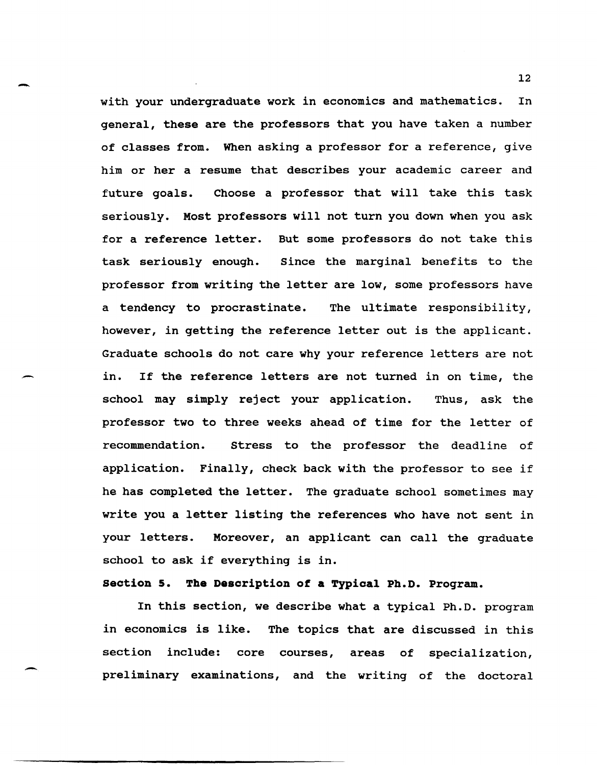with your undergraduate work in economics and mathematics. In general, these are the professors that you have taken a number of classes from. When asking a professor for a reference, give him or her a resume that describes your academic career and future goals. Choose a professor that will take this task seriously. Most professors will not turn you down when you ask for a reference letter. But some professors do not take this task seriously enough. Since the marginal benefits to the professor from writing the letter are low, some professors have a tendency to procrastinate. The ultimate responsibility, however, in getting the reference letter out is the applicant. Graduate schools do not care why your reference letters are not in. If the reference letters are not turned in on time, the school may simply reject your application. Thus, ask the professor two to three weeks ahead of time for the letter of recommendation. stress to the professor the deadline of application. Finally, check back with the professor to see if he has completed the letter. The graduate school sometimes may write you a letter listing the references who have not sent in your letters. Moreover, an applicant can call the graduate school to ask if everything is in.

-

--

-

# **section 5. The Description of a Typical Ph.D. Program.**

In this section, we describe what a typical Ph.D. program in economics is like. The topics that are discussed in this section include: core courses, areas of specialization, preliminary examinations, and the writing of the doctoral

12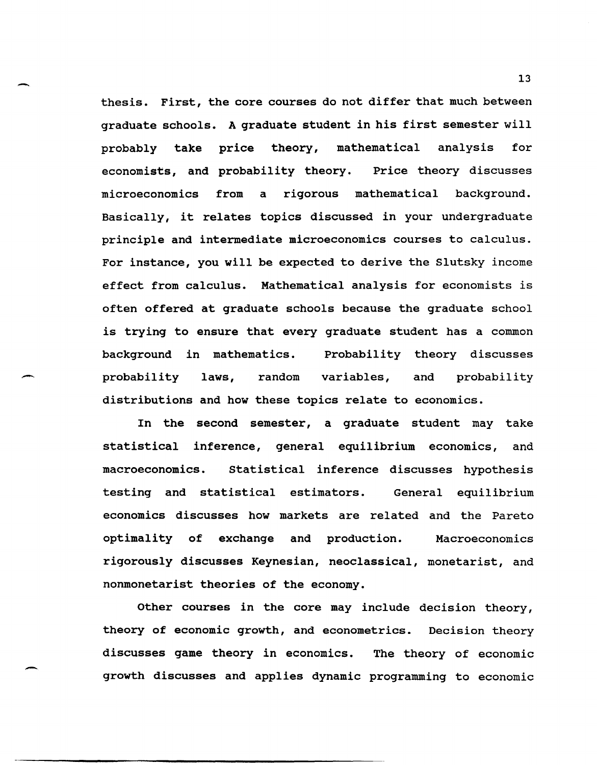thesis. First, the core courses do not differ that much between graduate schools. A graduate student in his first semester will probably take price theory, mathematical analysis for economists, and probability theory. Price theory discusses microeconomics from a rigorous mathematical background. Basically, it relates topics discussed in your undergraduate principle and intermediate microeconomics courses to calculus. For instance, you will be expected to derive the Slutsky income effect from calculus. Mathematical analysis for economists is often offered at graduate schools because the graduate school is trying to ensure that every graduate student has a common background in mathematics. probability theory discusses probability laws, random variables, and probability distributions and how these topics relate to economics.

-

.-

In the second semester, a graduate student may take statistical inference, general equilibrium economics, and macroeconomics. statistical inference discusses hypothesis testing and statistical estimators. General equilibrium economics discusses how markets are related and the Pareto optimality of exchange and production. Macroeconomics rigorously discusses Keynesian, neoclassical, monetarist, and nonmonetarist theories of the economy.

Other courses in the core may include decision theory, theory of economic growth, and econometrics. Decision theory discusses game theory in economics. The theory of economic growth discusses and applies dynamic programming to economic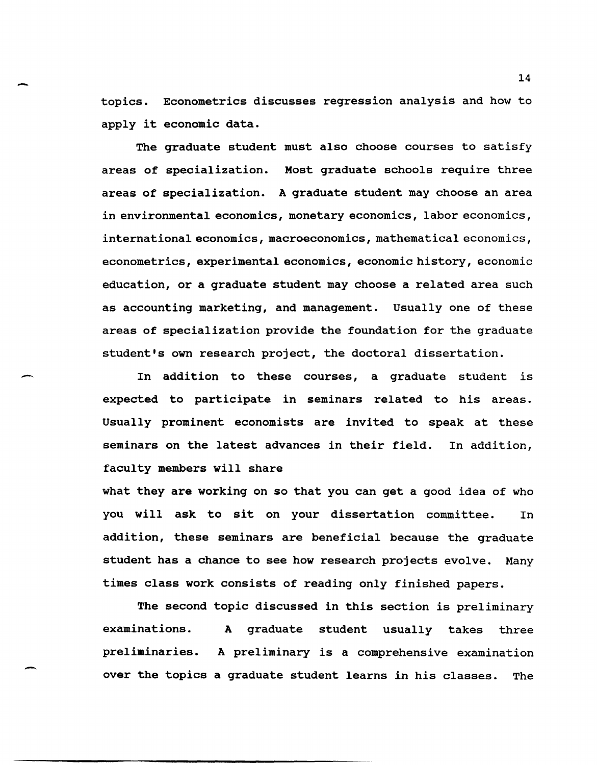topics. Econometrics discusses regression analysis and how to apply it economic data.

-

-

-

The graduate student must also choose courses to satisfy areas of specialization. Most graduate schools require three areas of specialization. A graduate student may choose an area in environmental economics, monetary economics, labor economics, international economics, macroeconomics, mathematical economics, econometrics, experimental economics, economic history, economic education, or a graduate student may choose a related area such as accounting marketing, and management. Usually one of these areas of specialization provide the foundation for the graduate student's own research project, the doctoral dissertation.

In addition to these courses, a graduate student is expected to participate in seminars related to his areas. Usually prominent economists are invited to speak at these seminars on the latest advances in their field. faculty members will share In addition,

what they are working on so that you can get a good idea of who you will ask to sit on your dissertation committee. In addition, these seminars are beneficial because the graduate student has a chance to see how research projects evolve. Many times class work consists of reading only finished papers.

The second topic discussed in this section is preliminary examinations. A graduate student usually takes three preliminaries. A preliminary is a comprehensive examination over the topics a graduate student learns in his classes. The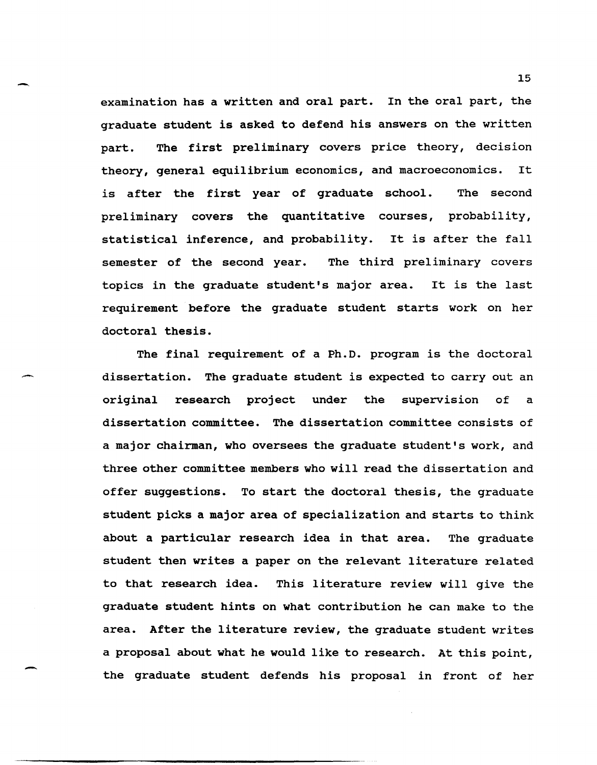examination has a written and oral part. In the oral part, the graduate student is asked to defend his answers on the written part. The first preliminary covers price theory, decision theory, general equilibrium economics, and macroeconomics. It is after the first year of graduate school. The second preliminary covers the quantitative courses, probability, statistical inference, and probability. It is after the fall semester of the second year. The third preliminary covers topics in the graduate student's major area. It is the last requirement before the graduate student starts work on her doctoral thesis.

-

-

-

The final requirement of a Ph.D. program is the doctoral dissertation. The graduate student is expected to carry out an original research project under the supervision of a dissertation committee. The dissertation committee consists of a major chairman, who oversees the graduate student's work, and three other committee members who will read the dissertation and offer suggestions. To start the doctoral thesis, the graduate student picks a major area of specialization and starts to think about a particular research idea in that area. The graduate student then writes a paper on the relevant literature related to that research idea. This literature review will give the graduate student hints on what contribution he can make to the area. After the literature review, the graduate student writes a proposal about what he would like to research. At this point, the graduate student defends his proposal in front of her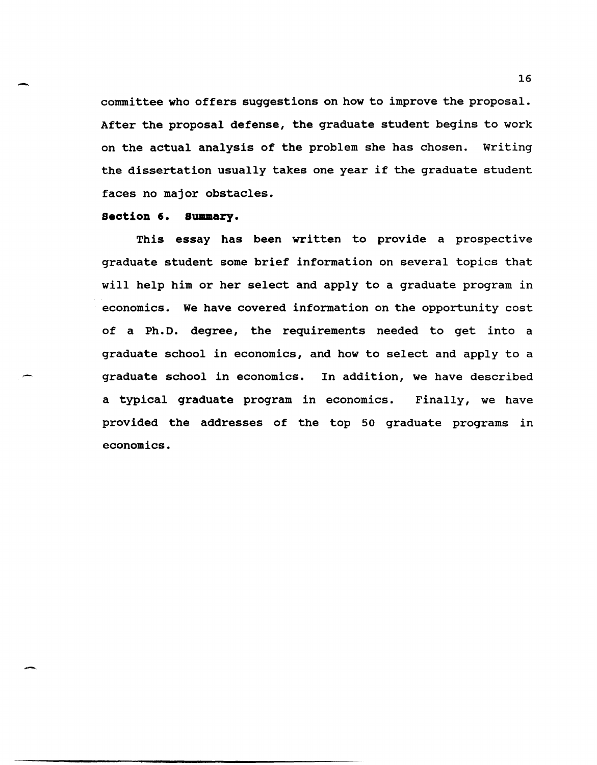committee who offers suggestions on how to improve the proposal. After the proposal defense, the graduate student begins to work on the actual analysis of the problem she has chosen. Writing the dissertation usually takes one year if the graduate student faces no major obstacles.

# **section 6. summary.**

-

-

This essay has been written to provide a prospective graduate student some brief information on several topics that will help him or her select and apply to a graduate program in economics. We have covered information on the opportunity cost of a Ph.D. degree, the requirements needed to get into a graduate school in economics, and how to select and apply to a graduate school in economics. In addition, we have described a typical graduate program in economics. Finally, we have provided the addresses of the top 50 graduate programs in economics.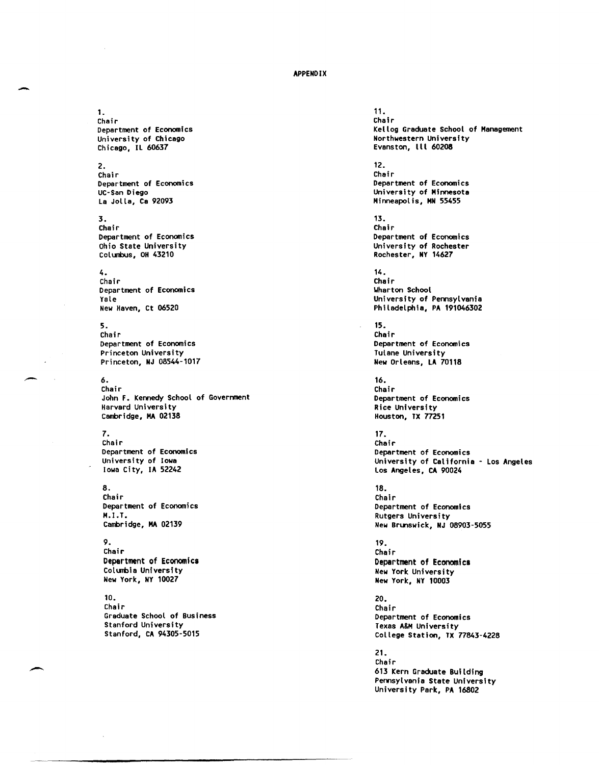#### APPENDIX

#### 1. Chair Department of Economics University of Chicago Chicago, IL 60637

# 2.

-

Chair Department of Economics UC-San Diego La Jolla, Ca 92093

## 3.

Chair Department of Economics Ohio State University Columbus, OH 43210

# 4.

Chair Department of Economics Yale New Haven, Ct 06520

#### 5. Chair Department of Economics Princeton University Princeton, NJ 08544-1017

# 6.

Chair John F. Kennedy School of Government Harvard University Cambridge, MA 02138

#### 7.

Chair Department of Economics University of Iowa Iowa City, IA 52242

# 8.

Chair Department of Economics M.I.T. Cambridge, MA 02139

## 9. Chair Department of Economics

Columbia University New York, NY 10027

#### 10. Chair Graduate School of Business Stanford University Stanford, CA 94305·5015

11. Chair Kellog Graduate School of Management Northwestern University Evanston, III 60208

#### 12. Chair

Department of Economics University of Minnesota Minneapolis, MN 55455

#### 13. Chair Department of Economics University of Rochester Rochester, NY 14627

14. Chair \Jharton School University of Pennsylvania Philadelphia, PA 191046302

15. Chair Department of Economics Tulane University New Orleans, LA 70118

#### 16. Chair Department of Economics Rice University Houston, TX 77251

17. Chair Department of Economics University of California - Los Angeles Los Angeles, CA 90024

#### 18. Chair Department of Economics Rutgers University New Brunswick, NJ 08903-5055

19. Chair Department of Economies New York University New York, NY 10003

20. Chair Department of Economics Texas A&M University College Station, TX 77843-4228

21. Chair 613 Kern Graduate Building Pennsylvania State University University Park, PA 16802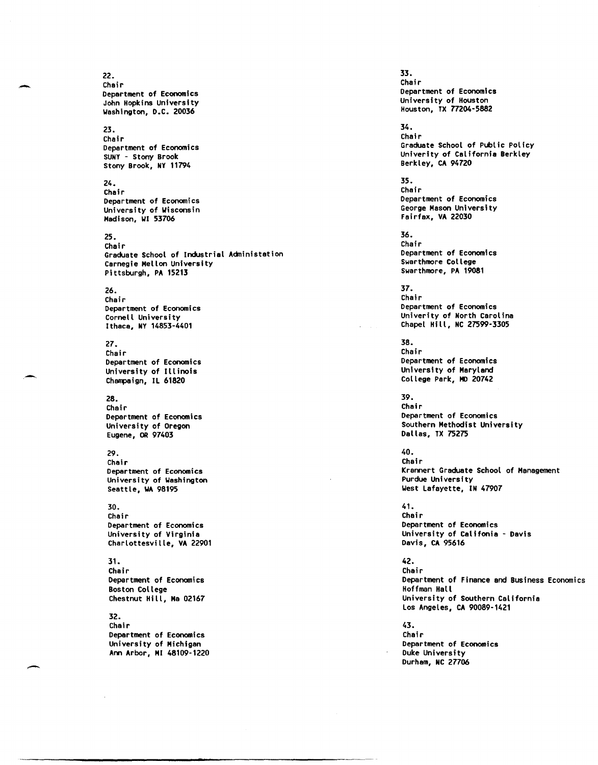#### 22. Chair Department of Economics John Hopkins University ~ashington, D.C. 20036

# 23.

Chair Department of Economics SUNY - Stony Brook Stony Brook, NY 11794

### 24.

Chair Department of Economics University of Wisconsin Madison, WI 53706

## 25.

Chair Graduate School of Industrial Admlnistation Carnegie Mellon University Pittsburgh, PA 15213

# 26.

Chair Department of Economics Cornell University Ithaca, NY 14853-4401

#### 27.

Chair Department of Economics University of Illinois Champaign, IL 61820

# 28.

Chair Department of Economics University of Oregon Eugene, OR 97403

## 29.

Chair Department of Economics University of Washington Seattle, WA 98195

## 30.

Chair Department of Economics University of Virginia Charlottesville, VA 22901

#### 31.

Chair Department of Economics Boston College Chestnut Hill, Ma 02167

### 32.

Chair Department of Economi cs University of Michigan Ann Arbor, MI 48109-1220 33. Chair Department of Economics University of Houston Houston, TX 77204-5882

#### 34. Chair Graduate School of Public Policy Univerity of California Berkley Berkley, CA 94720

35. Chair Department of Economics George Mason University Fairfax, VA 22030

36. Chair Department of Economics Swarthmore College Swarthmore, PA 19081

37. Chair Department of Economics Univerity of North Carolina Chapel Hill, NC 27599-3305

38. Chair Department of Economics University of Maryland College Park, MD 20742

39. Chair Department of Economics Southern Methodist University Dallas, TX 75275

40. Chair Krannert Graduate School of Management Purdue University West Lafayette, IN 47907

41. Chair Department of Economics University of Califonia - Davis Davis, CA 95616

42. Chair Department of Finance and Business Economics Hoffman Hall University of Southern California Los Angeles, CA 90089-1421

43. Chair Department of Economics Duke University Durham, NC *27706* 

-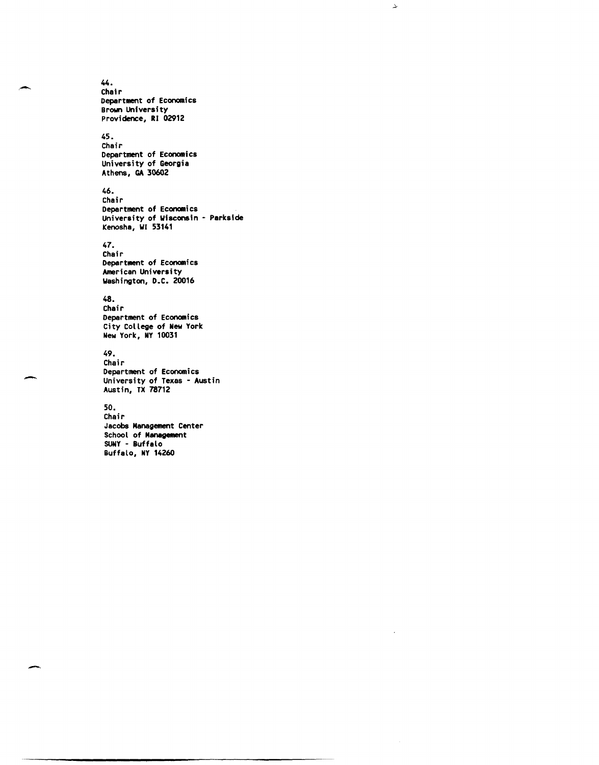44. ,- Chair Department of Economics Brown University Providence, RI 02912

# 45.

Chair Department of Economics University of Georgia Athens, GA 30602

# 46.

Chair Department of Economics University of Wisconsin - Parkside Kenosha, WI 53141

≁

# 47.

Chair Department of Economics American University Washington, D.C. 20016

# 48.

Chair Department of Economics City College of New York New York, NY 10031

# 49.

Chair Department of Economics University of Texas - Austin Austin, TX 78712

## 50.

-

Chair Jacobs Management Center School of Management SUNY - Buffalo Buffalo, NY *14260*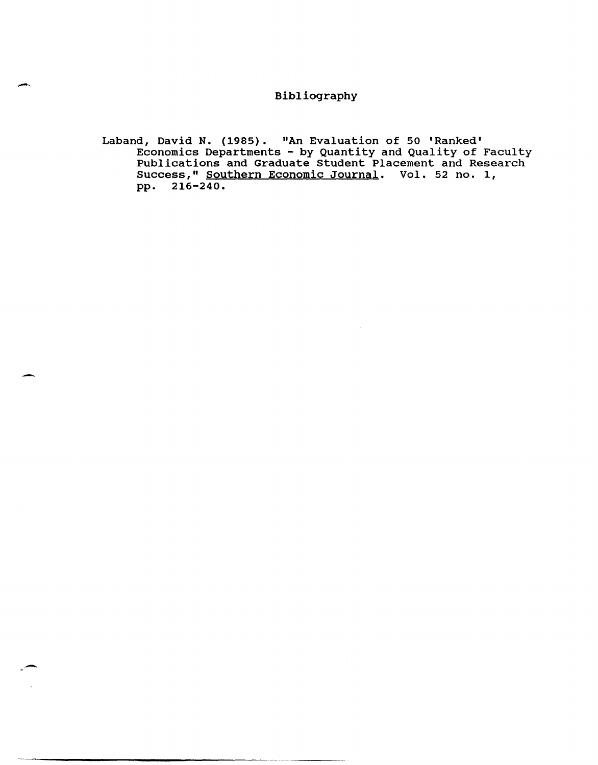# Bibliography

Laband, David N. (1985). "An Evaluation of 50 'Ranked' Economics Departments - by Quantity and Quality of Faculty Publications and Graduate Student Placement and Research Success," Southern Economic Journal. Vol. 52 no. 1, pp. 216-240.

-